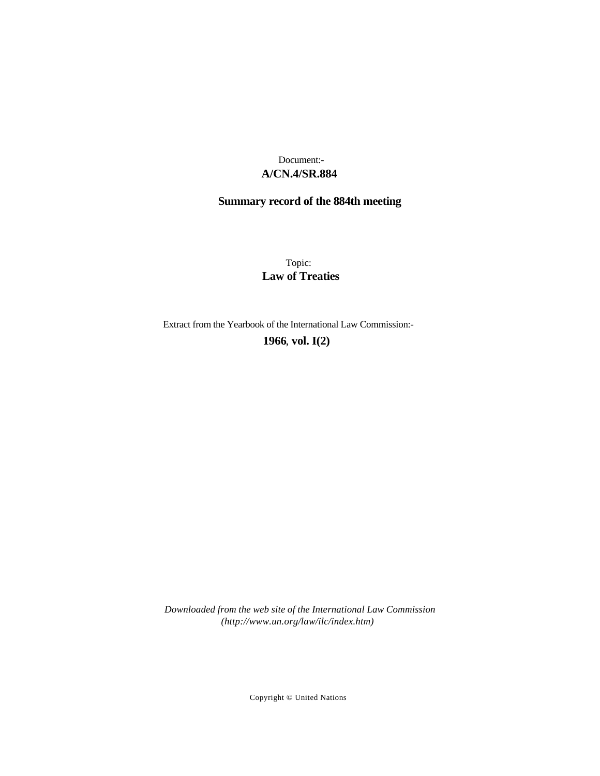# **A/CN.4/SR.884** Document:-

# **Summary record of the 884th meeting**

Topic: **Law of Treaties**

Extract from the Yearbook of the International Law Commission:-

**1966** , **vol. I(2)**

*Downloaded from the web site of the International Law Commission (http://www.un.org/law/ilc/index.htm)*

Copyright © United Nations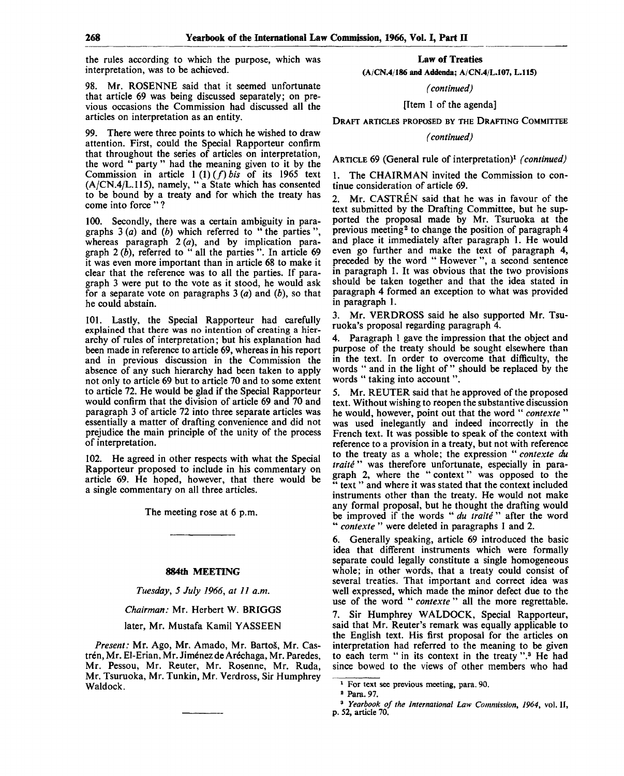the rules according to which the purpose, which was interpretation, was to be achieved.

98. Mr. ROSENNE said that it seemed unfortunate that article 69 was being discussed separately; on previous occasions the Commission had discussed all the articles on interpretation as an entity.

99. There were three points to which he wished to draw attention. First, could the Special Rapporteur confirm that throughout the series of articles on interpretation, the word " party " had the meaning given to it by the Commission in article  $1(1)(f)$  *bis* of its 1965 text  $(A/CN.4/L.115)$ , namely, " a State which has consented to be bound by a treaty and for which the treaty has come into force " ?

100. Secondly, there was a certain ambiguity in paragraphs 3 *(a)* and *(b)* which referred to " the parties ", whereas paragraph 2(a), and by implication paragraph  $2(\hat{b})$ , referred to " all the parties". In article 69 it was even more important than in article 68 to make it clear that the reference was to all the parties. If paragraph 3 were put to the vote as it stood, he would ask for a separate vote on paragraphs 3 *(a)* and *(b),* so that he could abstain.

101. Lastly, the Special Rapporteur had carefully explained that there was no intention of creating a hierarchy of rules of interpretation; but his explanation had been made in reference to article 69, whereas in his report and in previous discussion in the Commission the absence of any such hierarchy had been taken to apply not only to article 69 but to article 70 and to some extent to article 72. He would be glad if the Special Rapporteur would confirm that the division of article 69 and 70 and paragraph 3 of article 72 into three separate articles was essentially a matter of drafting convenience and did not prejudice the main principle of the unity of the process of interpretation.

102. He agreed in other respects with what the Special Rapporteur proposed to include in his commentary on article 69. He hoped, however, that there would be a single commentary on all three articles.

The meeting rose at 6 p.m.

#### **884th MEETING**

*Tuesday, 5 July 1966, at 11 a.m.*

*Chairman:* Mr. Herbert W. BRIGGS

later, Mr. Mustafa Kamil YASSEEN

*Present:* Mr. Ago, Mr. Amado, Mr. BartoS, Mr. Castrén, Mr. El-Erian, Mr. Jiménez de Aréchaga, Mr. Paredes, Mr. Pessou, Mr. Reuter, Mr. Rosenne, Mr. Ruda, Mr. Tsuruoka, Mr. Tunkin, Mr. Verdross, Sir Humphrey Waldock.

**Law of Treaties**

**(A/CN.4/186 and Addenda; A/CN.4/L.107, L.115)**

*(continued)*

[Item 1 of the agenda]

DRAFT ARTICLES PROPOSED BY THE DRAFTING COMMITTEE

*(continued)*

ARTICLE 69 (General rule of interpretation)<sup>1</sup> (continued)

1. The CHAIRMAN invited the Commission to continue consideration of article 69.

2. Mr. CASTREN said that he was in favour of the text submitted by the Drafting Committee, but he supported the proposal made by Mr. Tsuruoka at the previous meeting<sup>2</sup> to change the position of paragraph 4 and place it immediately after paragraph 1. He would even go further and make the text of paragraph 4, preceded by the word " However ", a second sentence in paragraph 1. It was obvious that the two provisions should be taken together and that the idea stated in paragraph 4 formed an exception to what was provided in paragraph 1.

3. Mr. VERDROSS said he also supported Mr. Tsuruoka's proposal regarding paragraph 4.

4. Paragraph 1 gave the impression that the object and purpose of the treaty should be sought elsewhere than in the text. In order to overcome that difficulty, the words " and in the light of " should be replaced by the words " taking into account".

5. Mr. REUTER said that he approved of the proposed text. Without wishing to reopen the substantive discussion he would, however, point out that the word " *contexte* " was used inelegantly and indeed incorrectly in the French text. It was possible to speak of the context with reference to a provision in a treaty, but not with reference to the treaty as a whole; the expression " *contexte du traite* " was therefore unfortunate, especially in paragraph 2, where the " context" was opposed to the text " and where it was stated that the context included instruments other than the treaty. He would not make any formal proposal, but he thought the drafting would be improved if the words " *du traite* " after the word " *contexte* " were deleted in paragraphs 1 and 2.

6. Generally speaking, article 69 introduced the basic idea that different instruments which were formally separate could legally constitute a single homogeneous whole; in other words, that a treaty could consist of several treaties. That important and correct idea was well expressed, which made the minor defect due to the use of the word " *contexte* " all the more regrettable.

7. Sir Humphrey WALDOCK, Special Rapporteur, said that Mr. Reuter's remark was equally applicable to the English text. His first proposal for the articles on interpretation had referred to the meaning to be given to each term " in its context in the treaty ".<sup>3</sup> He had since bowed to the views of other members who had

<sup>1</sup> For text see previous meeting, para. 90.

*<sup>2</sup>* Para. 97.

<sup>3</sup>  *Yearbook of the International Law Commission, 1964,* vol. II, p. 52, article 70.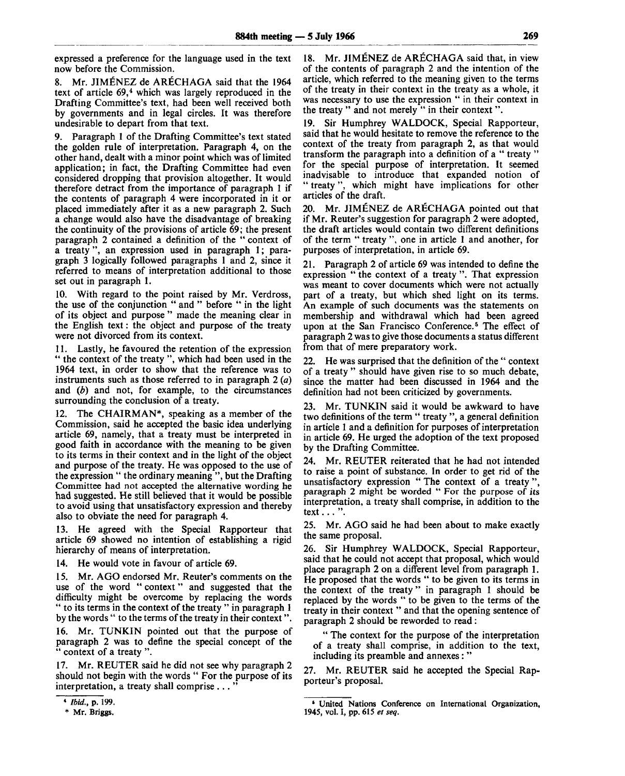expressed a preference for the language used in the text now before the Commission.

8. Mr. JIMENEZ de ARECHAGA said that the 1964 text of article 69,<sup>4</sup> which was largely reproduced in the Drafting Committee's text, had been well received both by governments and in legal circles. It was therefore undesirable to depart from that text.

9. Paragraph 1 of the Drafting Committee's text stated the golden rule of interpretation. Paragraph 4, on the other hand, dealt with a minor point which was of limited application; in fact, the Drafting Committee had even considered dropping that provision altogether. It would therefore detract from the importance of paragraph 1 if the contents of paragraph 4 were incorporated in it or placed immediately after it as a new paragraph 2. Such a change would also have the disadvantage of breaking the continuity of the provisions of article 69; the present paragraph 2 contained a definition of the " context of a treaty ", an expression used in paragraph 1; paragraph 3 logically followed paragraphs 1 and 2, since it referred to means of interpretation additional to those set out in paragraph 1.

10. With regard to the point raised by Mr. Verdross, the use of the conjunction " and " before " in the light of its object and purpose " made the meaning clear in the English text: the object and purpose of the treaty were not divorced from its context.

11. Lastly, he favoured the retention of the expression " the context of the treaty ", which had been used in the 1964 text, in order to show that the reference was to instruments such as those referred to in paragraph 2 *(a)* and *(b)* and not, for example, to the circumstances surrounding the conclusion of a treaty.

12. The CHAIRMAN\*, speaking as a member of the Commission, said he accepted the basic idea underlying article 69, namely, that a treaty must be interpreted in good faith in accordance with the meaning to be given to its terms in their context and in the light of the object and purpose of the treaty. He was opposed to the use of the expression " the ordinary meaning ", but the Drafting Committee had not accepted the alternative wording he had suggested. He still believed that it would be possible to avoid using that unsatisfactory expression and thereby also to obviate the need for paragraph 4.

13. He agreed with the Special Rapporteur that article 69 showed no intention of establishing a rigid hierarchy of means of interpretation.

14. He would vote in favour of article 69.

15. Mr. AGO endorsed Mr. Reuter's comments on the use of the word "context" and suggested that the difficulty might be overcome by replacing the words " to its terms in the context of the treaty " in paragraph 1 by the words " to the terms of the treaty in their context".

16. Mr. TUNKIN pointed out that the purpose of paragraph 2 was to define the special concept of the " context of a treaty ".

17. Mr. REUTER said he did not see why paragraph 2 should not begin with the words " For the purpose of its interpretation, a treaty shall comprise ...

18. Mr. JIMENEZ de ARECHAGA said that, in view of the contents of paragraph 2 and the intention of the article, which referred to the meaning given to the terms of the treaty in their context in the treaty as a whole, it was necessary to use the expression " in their context in the treaty " and not merely " in their context ".

Sir Humphrey WALDOCK, Special Rapporteur, said that he would hesitate to remove the reference to the context of the treaty from paragraph 2, as that would transform the paragraph into a definition of a " treaty " for the special purpose of interpretation. It seemed inadvisable to introduce that expanded notion of " treaty", which might have implications for other articles of the draft.

20. Mr. JIMENEZ de ARECHAGA pointed out that if Mr. Reuter's suggestion for paragraph 2 were adopted, the draft articles would contain two different definitions of the term " treaty ", one in article 1 and another, for purposes of interpretation, in article 69.

21. Paragraph 2 of article 69 was intended to define the expression " the context of a treaty ". That expression was meant to cover documents which were not actually part of a treaty, but which shed light on its terms. An example of such documents was the statements on membership and withdrawal which had been agreed upon at the San Francisco Conference.<sup>5</sup> The effect of paragraph 2 was to give those documents a status different from that of mere preparatory work.

22. He was surprised that the definition of the " context of a treaty " should have given rise to so much debate, since the matter had been discussed in 1964 and the definition had not been criticized by governments.

23. Mr. TUNKIN said it would be awkward to have two definitions of the term " treaty ", a general definition in article 1 and a definition for purposes of interpretation in article 69. He urged the adoption of the text proposed by the Drafting Committee.

24. Mr. REUTER reiterated that he had not intended to raise a point of substance. In order to get rid of the unsatisfactory expression " The context of a treaty " paragraph 2 might be worded " For the purpose of its interpretation, a treaty shall comprise, in addition to the text  $\dots$  ".

25. Mr. AGO said he had been about to make exactly the same proposal.

26. Sir Humphrey WALDOCK, Special Rapporteur, said that he could not accept that proposal, which would place paragraph 2 on a different level from paragraph 1. He proposed that the words " to be given to its terms in the context of the treaty " in paragraph 1 should be replaced by the words " to be given to the terms of the treaty in their context " and that the opening sentence of paragraph 2 should be reworded to read:

" The context for the purpose of the interpretation of a treaty shall comprise, in addition to the text, including its preamble and annexes: "

27. Mr. REUTER said he accepted the Special Rapporteur's proposal.

<sup>«</sup> *Ibid.,* p. 199.

<sup>\*</sup> Mr. Briggs.

<sup>&</sup>lt;sup>5</sup> United Nations Conference on International Organization, 1945, vol. I, pp. 615 *et seq.*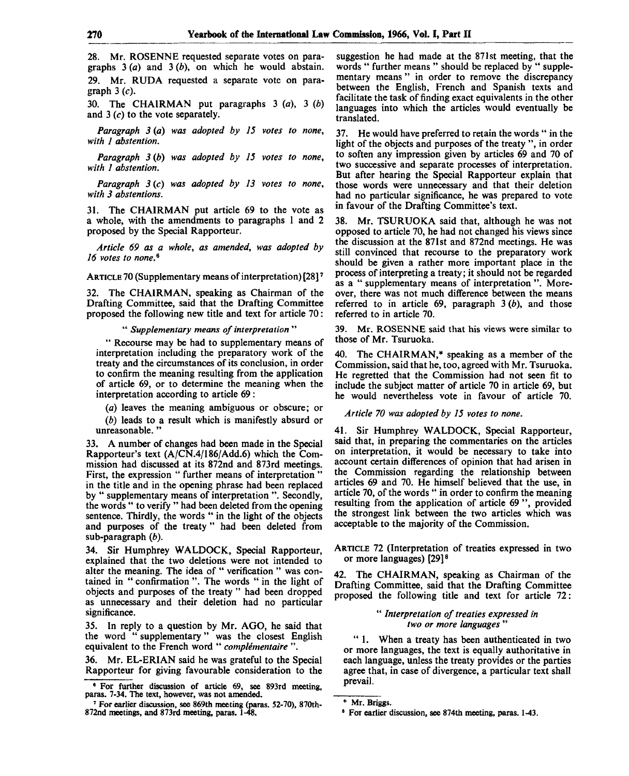28. Mr. ROSENNE requested separate votes on paragraphs 3 *(a)* and 3 *(b),* on which he would abstain. 29. Mr. RUDA requested a separate vote on paragraph  $3(c)$ .

30. The CHAIRMAN put paragraphs 3 *(a),* 3 *(b)* and 3 (c) to the vote separately.

*Paragraph 3 (a) was adopted by 15 votes to none, with 1 abstention.*

*Paragraph 3 (b) was adopted by 15 votes to none, with 1 abstention.*

*Paragraph 3* (c) *was adopted by 13 votes to none, with 3 abstentions.*

31. The CHAIRMAN put article 69 to the vote as a whole, with the amendments to paragraphs 1 and 2 proposed by the Special Rapporteur.

*Article 69 as a whole, as amended, was adopted by 16 votes to none. 6*

ARTICLE 70 (Supplementary means of interpretation) [28]<sup>7</sup>

32. The CHAIRMAN, speaking as Chairman of the Drafting Committee, said that the Drafting Committee proposed the following new title and text for article 70:

" *Supplementary means of interpretation* "

" Recourse may be had to supplementary means of interpretation including the preparatory work of the treaty and the circumstances of its conclusion, in order to confirm the meaning resulting from the application of article 69, or to determine the meaning when the interpretation according to article 69 :

*(a)* leaves the meaning ambiguous or obscure; or

*(b)* leads to a result which is manifestly absurd or unreasonable.'

33. A number of changes had been made in the Special Rapporteur's text (A/CN.4/186/Add.6) which the Commission had discussed at its 872nd and 873rd meetings. First, the expression " further means of interpretation" in the title and in the opening phrase had been replaced by " supplementary means of interpretation ". Secondly, the words " to verify " had been deleted from the opening sentence. Thirdly, the words " in the light of the objects and purposes of the treaty " had been deleted from sub-paragraph *(b).*

34. Sir Humphrey WALDOCK, Special Rapporteur, explained that the two deletions were not intended to alter the meaning. The idea of " verification " was contained in " confirmation ". The words " in the light of objects and purposes of the treaty " had been dropped as unnecessary and their deletion had no particular significance.

35. In reply to a question by Mr. AGO, he said that the word " supplementary" was the closest English equivalent to the French word " *complementaire* ".

36. Mr. EL-ERIAN said he was grateful to the Special Rapporteur for giving favourable consideration to the suggestion he had made at the 871st meeting, that the words " further means " should be replaced by " supplementary means" in order to remove the discrepancy between the English, French and Spanish texts and facilitate the task of finding exact equivalents in the other languages into which the articles would eventually be translated.

37. He would have preferred to retain the words " in the light of the objects and purposes of the treaty ", in order to soften any impression given by articles 69 and 70 of two successive and separate processes of interpretation. But after hearing the Special Rapporteur explain that those words were unnecessary and that their deletion had no particular significance, he was prepared to vote in favour of the Drafting Committee's text.

38. Mr. TSURUOKA said that, although he was not opposed to article 70, he had not changed his views since the discussion at the 871st and 872nd meetings. He was still convinced that recourse to the preparatory work should be given a rather more important place in the process of interpreting a treaty; it should not be regarded as a " supplementary means of interpretation ". Moreover, there was not much difference between the means referred to in article 69, paragraph 3 *(b),* and those referred to in article 70.

39. Mr. ROSENNE said that his views were similar to those of Mr. Tsuruoka.

40. The CHAIRMAN,\* speaking as a member of the Commission, said that he, too, agreed with Mr. Tsuruoka. He regretted that the Commission had not seen fit to include the subject matter of article 70 in article 69, but he would nevertheless vote in favour of article 70.

*Article 70 was adopted by 15 votes to none.*

41. Sir Humphrey WALDOCK, Special Rapporteur, said that, in preparing the commentaries on the articles on interpretation, it would be necessary to take into account certain differences of opinion that had arisen in the Commission regarding the relationship between articles 69 and 70. He himself believed that the use, in article 70, of the words " in order to confirm the meaning resulting from the application of article 69 ", provided the strongest link between the two articles which was acceptable to the majority of the Commission.

ARTICLE 72 (Interpretation of treaties expressed in two or more languages) [29]<sup>8</sup>

42. The CHAIRMAN, speaking as Chairman of the Drafting Committee, said that the Drafting Committee proposed the following title and text for article 72:

# " *Interpretation of treaties expressed in two or more languages* "

" 1. When a treaty has been authenticated in two or more languages, the text is equally authoritative in each language, unless the treaty provides or the parties agree that, in case of divergence, a particular text shall prevail.

<sup>\*</sup> For further discussion of article 69, see 893rd meeting, paras. 7-34. The text, however, was not amended.

<sup>7</sup> For earlier discussion, see 869th meeting (paras. 52-70), 870th-872nd meetings, and 873rd meeting, paras. 1-48.

<sup>\*</sup> Mr. Briggs.

<sup>8</sup> For earlier discussion, see 874th meeting, paras. 1-43.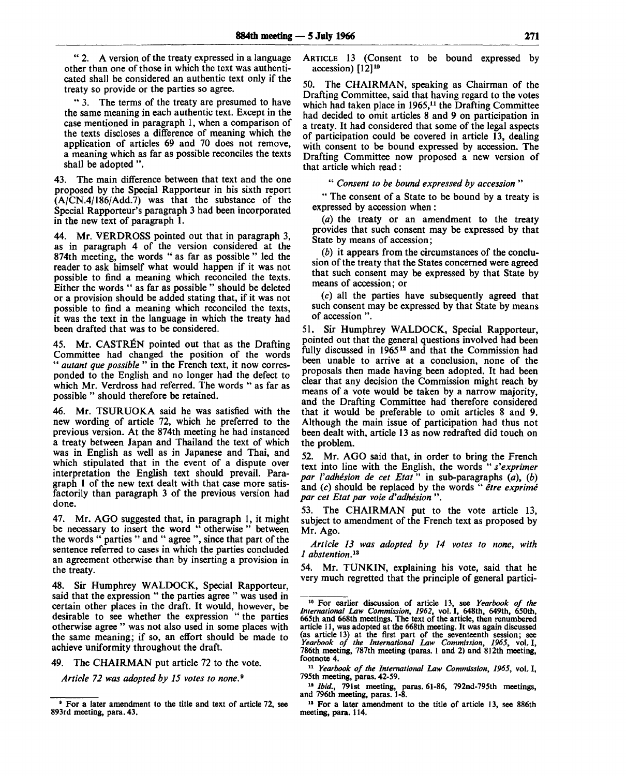" 2. A version of the treaty expressed in a language other than one of those in which the text was authenticated shall be considered an authentic text only if the treaty so provide or the parties so agree.

" 3. The terms of the treaty are presumed to have the same meaning in each authentic text. Except in the case mentioned in paragraph 1, when a comparison of the texts discloses a difference of meaning which the application of articles 69 and 70 does not remove, a meaning which as far as possible reconciles the texts shall be adopted ".

43. The main difference between that text and the one proposed by the Special Rapporteur in his sixth report  $(A/CN.4/186/Add.7)$  was that the substance of the Special Rapporteur's paragraph 3 had been incorporated in the new text of paragraph 1.

44. Mr. VERDROSS pointed out that in paragraph 3, as in paragraph 4 of the version considered at the 874th meeting, the words " as far as possible " led the reader to ask himself what would happen if it was not possible to find a meaning which reconciled the texts. Either the words " as far as possible " should be deleted or a provision should be added stating that, if it was not possible to find a meaning which reconciled the texts, it was the text in the language in which the treaty had been drafted that was to be considered.

45. Mr. CASTREN pointed out that as the Drafting Committee had changed the position of the words " *autant que possible* " in the French text, it now corresponded to the English and no longer had the defect to which Mr. Verdross had referred. The words " as far as possible " should therefore be retained.

46. Mr. TSURUOKA said he was satisfied with the new wording of article 72, which he preferred to the previous version. At the 874th meeting he had instanced a treaty between Japan and Thailand the text of which was in English as well as in Japanese and Thai, and which stipulated that in the event of a dispute over interpretation the English text should prevail. Paragraph 1 of the new text dealt with that case more satisfactorily than paragraph 3 of the previous version had done.

47. Mr. AGO suggested that, in paragraph 1, it might be necessary to insert the word " otherwise " between the words " parties " and " agree ", since that part of the sentence referred to cases in which the parties concluded an agreement otherwise than by inserting a provision in the treaty.

48. Sir Humphrey WALDOCK, Special Rapporteur, said that the expression " the parties agree " was used in certain other places in the draft. It would, however, be desirable to see whether the expression " the parties otherwise agree " was not also used in some places with the same meaning; if so, an effort should be made to achieve uniformity throughout the draft.

49. The CHAIRMAN put article 72 to the vote.

*Article 72 was adopted by 15 votes to none. 9*

ARTICLE 13 (Consent to be bound expressed by accession) [12]<sup>10</sup>

50. The CHAIRMAN, speaking as Chairman of the Drafting Committee, said that having regard to the votes which had taken place in 1965,<sup>11</sup> the Drafting Committee had decided to omit articles 8 and 9 on participation in a treaty. It had considered that some of the legal aspects of participation could be covered in article 13, dealing with consent to be bound expressed by accession. The Drafting Committee now proposed a new version of that article which read :

" *Consent to be bound expressed by accession* "

" The consent of a State to be bound by a treaty is expressed by accession when:

*(a)* the treaty or an amendment to the treaty provides that such consent may be expressed by that State by means of accession;

*(b)* it appears from the circumstances of the conclusion of the treaty that the States concerned were agreed that such consent may be expressed by that State by means of accession; or

(c) all the parties have subsequently agreed that such consent may be expressed by that State by means of accession ".

51. Sir Humphrey WALDOCK, Special Rapporteur, pointed out that the general questions involved had been fully discussed in 1965<sup>12</sup> and that the Commission had been unable to arrive at a conclusion, none of the proposals then made having been adopted. It had been clear that any decision the Commission might reach by means of a vote would be taken by a narrow majority, and the Drafting Committee had therefore considered that it would be preferable to omit articles 8 and 9. Although the main issue of participation had thus not been dealt with, article 13 as now redrafted did touch on the problem.

52. Mr. AGO said that, in order to bring the French text into line with the English, the words " *s'exprimer par Vadhesion de cet Etat*" in sub-paragraphs *(a), (b)* and (c) should be replaced by the words " *etre exprime par cet Etat par voie d'adhesion* ".

53. The CHAIRMAN put to the vote article 13, subject to amendment of the French text as proposed by Mr. Ago.

*Article 13 was adopted by 14 votes to none, with 1 abstention.<sup>1</sup> \**

54. Mr. TUNKIN, explaining his vote, said that he very much regretted that the principle of general partici-

11  *Yearbook of the International Law Commission, 1965,* vol. I, 795th meeting, paras. 42-59.

<sup>12</sup> *Ibid.*, 791st meeting, paras. 61-86, 792nd-795th meetings, and 796th meeting, paras. 1-8.

<sup>13</sup> For a later amendment to the title of article 13, see 886th meeting, para. 114.

<sup>•</sup> For a later amendment to the title and text of article 72, see 893rd meeting, para. 43.

<sup>&</sup>lt;sup>10</sup> For earlier discussion of article 13, see *Yearbook of the International Law Commission*, 1962, vol. I, 648th, 649th, 650th, 665th and 668th meetings. The text of the article, then renumbered article 11, was adopted at the 668th meeting. It was again discussed (as article 13) at the first part of the seventeenth session; see *Yearbook of the International Law Commission, 1965,* vol. I, 786th meeting, 787th meeting (paras. 1 and 2) and 812th meeting, footnote 4.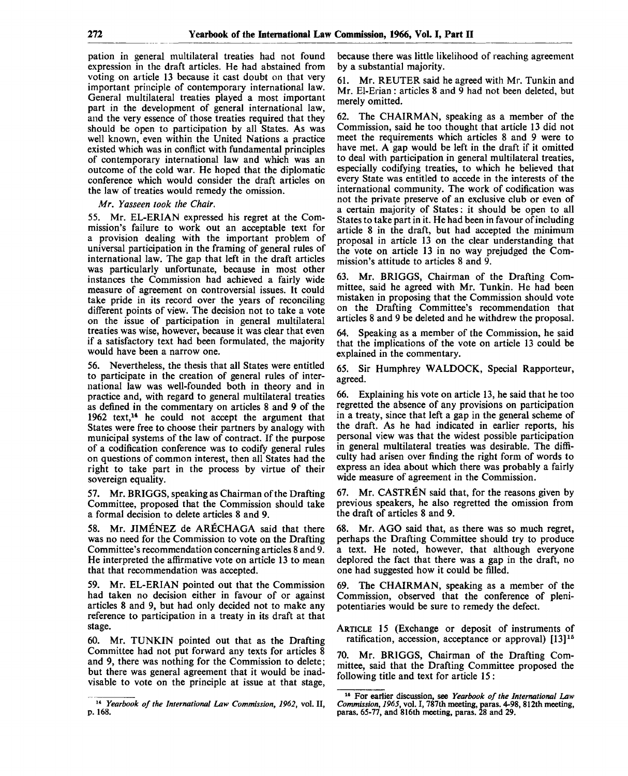pation in general multilateral treaties had not found expression in the draft articles. He had abstained from voting on article 13 because it cast doubt on that very important principle of contemporary international law. General multilateral treaties played a most important part in the development of general international law, and the very essence of those treaties required that they should be open to participation by all States. As was well known, even within the United Nations a practice existed which was in conflict with fundamental principles of contemporary international law and which was an outcome of the cold war. He hoped that the diplomatic conference which would consider the draft articles on the law of treaties would remedy the omission.

*Mr. Yasseen took the Chair.*

55. Mr. EL-ERIAN expressed his regret at the Commission's failure to work out an acceptable text for a provision dealing with the important problem of universal participation in the framing of general rules of international law. The gap that left in the draft articles was particularly unfortunate, because in most other instances the Commission had achieved a fairly wide measure of agreement on controversial issues. It could take pride in its record over the years of reconciling different points of view. The decision not to take a vote on the issue of participation in general multilateral treaties was wise, however, because it was clear that even if a satisfactory text had been formulated, the majority would have been a narrow one.

56. Nevertheless, the thesis that all States were entitled to participate in the creation of general rules of international law was well-founded both in theory and in practice and, with regard to general multilateral treaties as defined in the commentary on articles 8 and 9 of the 1962 text,<sup>14</sup> he could not accept the argument that States were free to choose their partners by analogy with municipal systems of the law of contract. If the purpose of a codification conference was to codify general rules on questions of common interest, then all States had the right to take part in the process by virtue of their sovereign equality.

57. Mr. BRIGGS, speaking as Chairman of the Drafting Committee, proposed that the Commission should take a formal decision to delete articles 8 and 9.

58. Mr. JIMENEZ de ARECHAGA said that there was no need for the Commission to vote on the Drafting Committee's recommendation concerning articles 8 and 9. He interpreted the affirmative vote on article 13 to mean that that recommendation was accepted.

59. Mr. EL-ERIAN pointed out that the Commission had taken no decision either in favour of or against articles 8 and 9, but had only decided not to make any reference to participation in a treaty in its draft at that stage.

60. Mr. TUNKIN pointed out that as the Drafting Committee had not put forward any texts for articles 8 and 9, there was nothing for the Commission to delete; but there was general agreement that it would be inadvisable to vote on the principle at issue at that stage, because there was little likelihood of reaching agreement by a substantial majority.

61. Mr. REUTER said he agreed with Mr. Tunkin and Mr. El-Erian: articles 8 and 9 had not been deleted, but merely omitted.

62. The CHAIRMAN, speaking as a member of the Commission, said he too thought that article 13 did not meet the requirements which articles 8 and 9 were to have met. A gap would be left in the draft if it omitted to deal with participation in general multilateral treaties, especially codifying treaties, to which he believed that every State was entitled to accede in the interests of the international community. The work of codification was not the private preserve of an exclusive club or even of a certain majority of States: it should be open to all States to take part in it. He had been in favour of including article 8 in the draft, but had accepted the minimum proposal in article 13 on the clear understanding that the vote on article 13 in no way prejudged the Commission's attitude to articles 8 and 9.

63. Mr. BRIGGS, Chairman of the Drafting Committee, said he agreed with Mr. Tunkin. He had been mistaken in proposing that the Commission should vote on the Drafting Committee's recommendation that articles 8 and 9 be deleted and he withdrew the proposal.

64. Speaking as a member of the Commission, he said that the implications of the vote on article 13 could be explained in the commentary.

65. Sir Humphrey WALDOCK, Special Rapporteur, agreed.

66. Explaining his vote on article 13, he said that he too regretted the absence of any provisions on participation in a treaty, since that left a gap in the general scheme of the draft. As he had indicated in earlier reports, his personal view was that the widest possible participation in general multilateral treaties was desirable. The difficulty had arisen over finding the right form of words to express an idea about which there was probably a fairly wide measure of agreement in the Commission.

67. Mr. CASTREN said that, for the reasons given by previous speakers, he also regretted the omission from the draft of articles 8 and 9.

68. Mr. AGO said that, as there was so much regret, perhaps the Drafting Committee should try to produce a text. He noted, however, that although everyone deplored the fact that there was a gap in the draft, no one had suggested how it could be filled.

69. The CHAIRMAN, speaking as a member of the Commission, observed that the conference of plenipotentiaries would be sure to remedy the defect.

ARTICLE 15 (Exchange or deposit of instruments of ratification, accession, acceptance or approval) [13]<sup>15</sup>

70. Mr. BRIGGS, Chairman of the Drafting Committee, said that the Drafting Committee proposed the following title and text for article 15 :

<sup>14</sup>  *Yearbook of the International Law Commission, 1962,* vol. II, p. 168.

<sup>16</sup> For earlier discussion, see *Yearbook of the International Law Commission, 1965,* vol. I, 787th meeting, paras. 4-98, 812th meeting, paras. 65-77, and 816th meeting, paras. 28 and 29.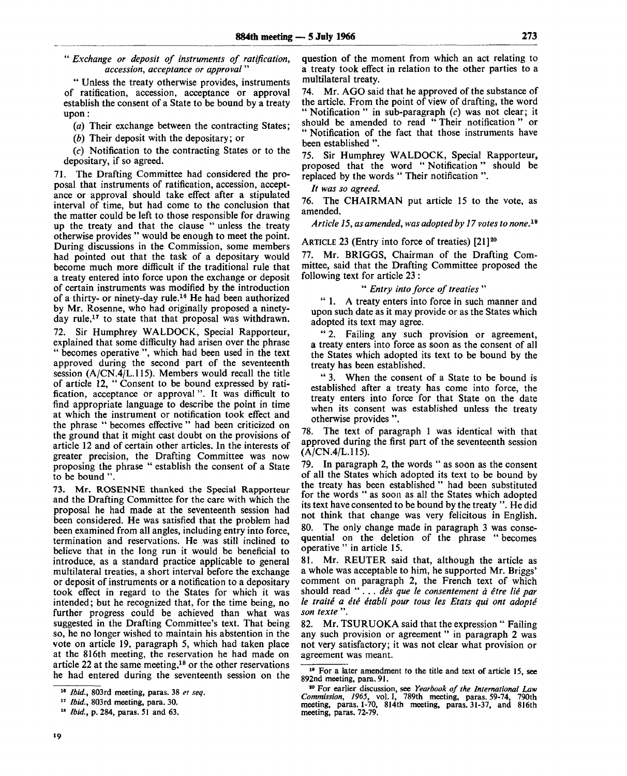" *Exchange or deposit of instruments of ratification, accession, acceptance or approval*"

" Unless the treaty otherwise provides, instruments of ratification, accession, acceptance or approval establish the consent of a State to be bound by a treaty upon:

*(a)* Their exchange between the contracting States;

*(b)* Their deposit with the depositary; or

(c) Notification to the contracting States or to the depositary, if so agreed.

71. The Drafting Committee had considered the proposal that instruments of ratification, accession, acceptance or approval should take effect after a stipulated interval of time, but had come to the conclusion that the matter could be left to those responsible for drawing up the treaty and that the clause " unless the treaty otherwise provides " would be enough to meet the point. During discussions in the Commission, some members had pointed out that the task of a depositary would become much more difficult if the traditional rule that a treaty entered into force upon the exchange or deposit of certain instruments was modified by the introduction of a thirty- or ninety-day rule.<sup>16</sup> He had been authorized by Mr. Rosenne, who had originally proposed a ninetyday rule,<sup>17</sup> to state that that proposal was withdrawn. 72. Sir Humphrey WALDOCK, Special Rapporteur, explained that some difficulty had arisen over the phrase " becomes operative ", which had been used in the text approved during the second part of the seventeenth session (A/CN.4/L.115). Members would recall the title of article 12, " Consent to be bound expressed by ratification, acceptance or approval ". It was difficult to find appropriate language to describe the point in time at which the instrument or notification took effect and the phrase " becomes effective " had been criticized on the ground that it might cast doubt on the provisions of article 12 and of certain other articles. In the interests of greater precision, the Drafting Committee was now

to be bound ". 73. Mr. ROSENNE thanked the Special Rapporteur and the Drafting Committee for the care with which the proposal he had made at the seventeenth session had been considered. He was satisfied that the problem had been examined from all angles, including entry into force, termination and reservations. He was still inclined to believe that in the long run it would be beneficial to introduce, as a standard practice applicable to general multilateral treaties, a short interval before the exchange or deposit of instruments or a notification to a depositary took effect in regard to the States for which it was intended; but he recognized that, for the time being, no further progress could be achieved than what was suggested in the Drafting Committee's text. That being so, he no longer wished to maintain his abstention in the vote on article 19, paragraph 5, which had taken place at the 816th meeting, the reservation he had made on article 22 at the same meeting,<sup>18</sup> or the other reservations he had entered during the seventeenth session on the

proposing the phrase " establish the consent of a State

question of the moment from which an act relating to a treaty took effect in relation to the other parties to a multilateral treaty.

74. Mr. AGO said that he approved of the substance of the article. From the point of view of drafting, the word " Notification " in sub-paragraph  $(c)$  was not clear; it should be amended to read " Their notification " or " Notification of the fact that those instruments have been established ".

75. Sir Humphrey WALDOCK, Special Rapporteur, proposed that the word "Notification" replaced by the words " Their notification ".

*It was so agreed.*

76. The CHAIRMAN put article 15 to the vote, as amended.

*Article 15, as amended, was adopted by 17 votes to none. 19*

#### ARTICLE 23 (Entry into force of treaties)  $[21]^{20}$

77. Mr. BRIGGS, Chairman of the Drafting Committee, said that the Drafting Committee proposed the following text for article 23 :

# " *Entry into force of treaties* "

" 1. A treaty enters into force in such manner and upon such date as it may provide or as the States which adopted its text may agree.

" 2. Failing any such provision or agreement, a treaty enters into force as soon as the consent of all the States which adopted its text to be bound by the treaty has been established.

" 3. When the consent of a State to be bound is established after a treaty has come into force, the treaty enters into force for that State on the date when its consent was established unless the treaty otherwise provides ".

78. The text of paragraph 1 was identical with that approved during the first part of the seventeenth session (A/CN.4/L.115).

79. In paragraph 2, the words " as soon as the consent of all the States which adopted its text to be bound by the treaty has been established " had been substituted for the words " as soon as all the States which adopted its text have consented to be bound by the treaty ". He did not think that change was very felicitous in English. 80. The only change made in paragraph 3 was consequential on the deletion of the phrase " becomes operative " in article 15.

81. Mr. REUTER said that, although the article as a whole was acceptable to him, he supported Mr. Briggs' comment on paragraph 2, the French text of which should read ".. . *des que le consentement a etre lie par le traite a ete etabli pour tous les Etats qui ont adopte son texte* ".

82. Mr. TSURUOKA said that the expression " Failing any such provision or agreement" in paragraph 2 was not very satisfactory; it was not clear what provision or agreement was meant.

<sup>18</sup>  *Ibid.,* 803rd meeting, paras. 38 *et seq.*

<sup>17</sup>  *Ibid.,* 803rd meeting, para. 30.

<sup>18</sup>  *Ibid.,* p. 284, paras. 51 and 63.

<sup>&</sup>lt;sup>19</sup> For a later amendment to the title and text of article 15, see 892nd meeting, para. 91.

<sup>80</sup> For earlier discussion, see *Yearbook of the International Law Commission, 1965,* vol. I, 789th meeting, paras. 59-74, 790th meeting, paras. 1-70, 814th meeting, paras. 31-37, and 816th meeting, paras. 72-79.